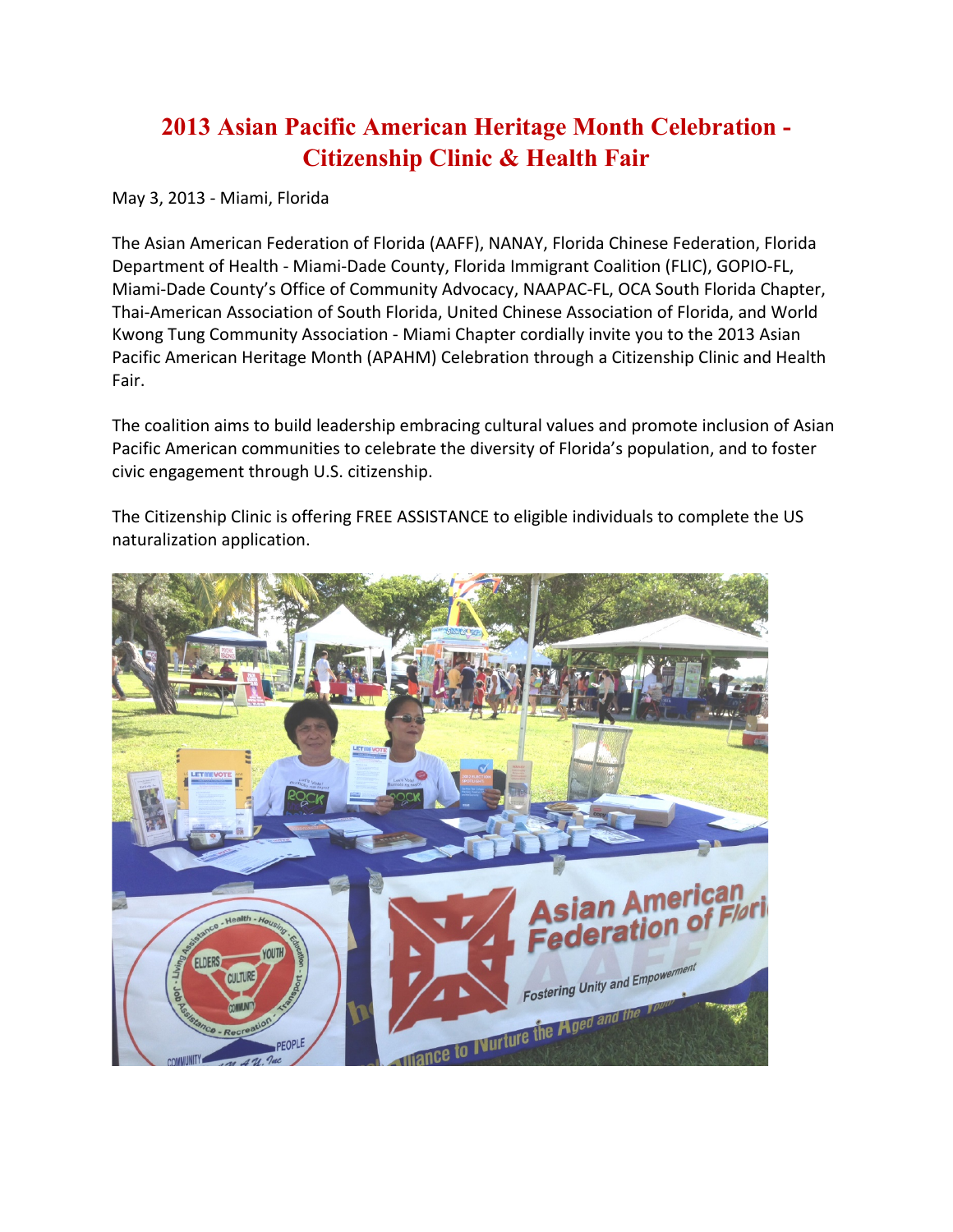## **2013 Asian Pacific American Heritage Month Celebration - Citizenship Clinic & Health Fair**

May 3, 2013 - Miami, Florida

The Asian American Federation of Florida (AAFF), NANAY, Florida Chinese Federation, Florida Department of Health - Miami-Dade County, Florida Immigrant Coalition (FLIC), GOPIO-FL, Miami-Dade County's Office of Community Advocacy, NAAPAC-FL, OCA South Florida Chapter, Thai-American Association of South Florida, United Chinese Association of Florida, and World Kwong Tung Community Association - Miami Chapter cordially invite you to the 2013 Asian Pacific American Heritage Month (APAHM) Celebration through a Citizenship Clinic and Health Fair.

The coalition aims to build leadership embracing cultural values and promote inclusion of Asian Pacific American communities to celebrate the diversity of Florida's population, and to foster civic engagement through U.S. citizenship.

The Citizenship Clinic is offering FREE ASSISTANCE to eligible individuals to complete the US naturalization application.

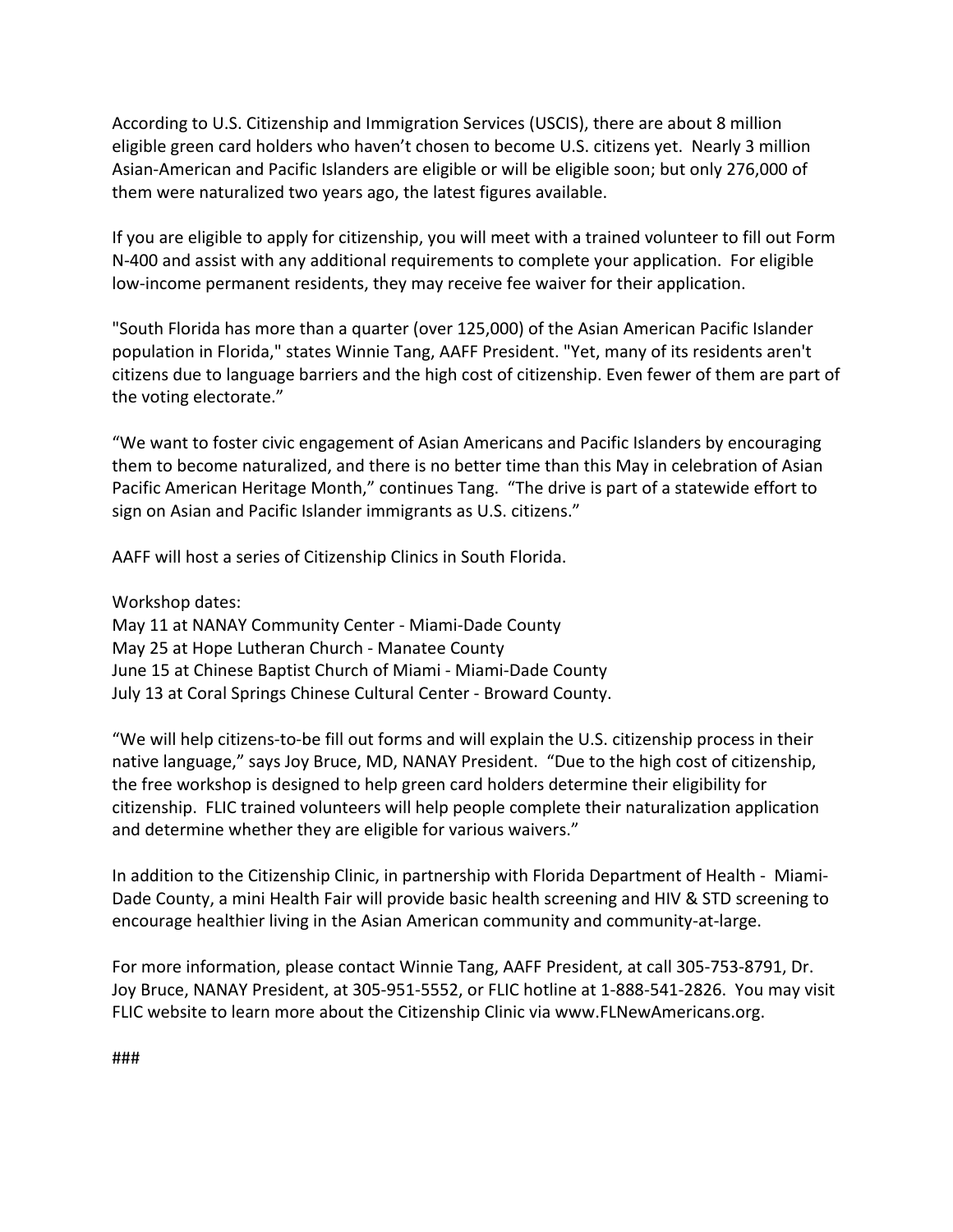According to U.S. Citizenship and Immigration Services (USCIS), there are about 8 million eligible green card holders who haven't chosen to become U.S. citizens yet. Nearly 3 million Asian-American and Pacific Islanders are eligible or will be eligible soon; but only 276,000 of them were naturalized two years ago, the latest figures available.

If you are eligible to apply for citizenship, you will meet with a trained volunteer to fill out Form N-400 and assist with any additional requirements to complete your application. For eligible low-income permanent residents, they may receive fee waiver for their application.

"South Florida has more than a quarter (over 125,000) of the Asian American Pacific Islander population in Florida," states Winnie Tang, AAFF President. "Yet, many of its residents aren't citizens due to language barriers and the high cost of citizenship. Even fewer of them are part of the voting electorate."

"We want to foster civic engagement of Asian Americans and Pacific Islanders by encouraging them to become naturalized, and there is no better time than this May in celebration of Asian Pacific American Heritage Month," continues Tang. "The drive is part of a statewide effort to sign on Asian and Pacific Islander immigrants as U.S. citizens."

AAFF will host a series of Citizenship Clinics in South Florida.

Workshop dates:

May 11 at NANAY Community Center - Miami-Dade County May 25 at Hope Lutheran Church - Manatee County June 15 at Chinese Baptist Church of Miami - Miami-Dade County July 13 at Coral Springs Chinese Cultural Center - Broward County.

"We will help citizens-to-be fill out forms and will explain the U.S. citizenship process in their native language," says Joy Bruce, MD, NANAY President. "Due to the high cost of citizenship, the free workshop is designed to help green card holders determine their eligibility for citizenship. FLIC trained volunteers will help people complete their naturalization application and determine whether they are eligible for various waivers."

In addition to the Citizenship Clinic, in partnership with Florida Department of Health - Miami-Dade County, a mini Health Fair will provide basic health screening and HIV & STD screening to encourage healthier living in the Asian American community and community-at-large.

For more information, please contact Winnie Tang, AAFF President, at call 305-753-8791, Dr. Joy Bruce, NANAY President, at 305-951-5552, or FLIC hotline at 1-888-541-2826. You may visit FLIC website to learn more about the Citizenship Clinic via www.FLNewAmericans.org.

###